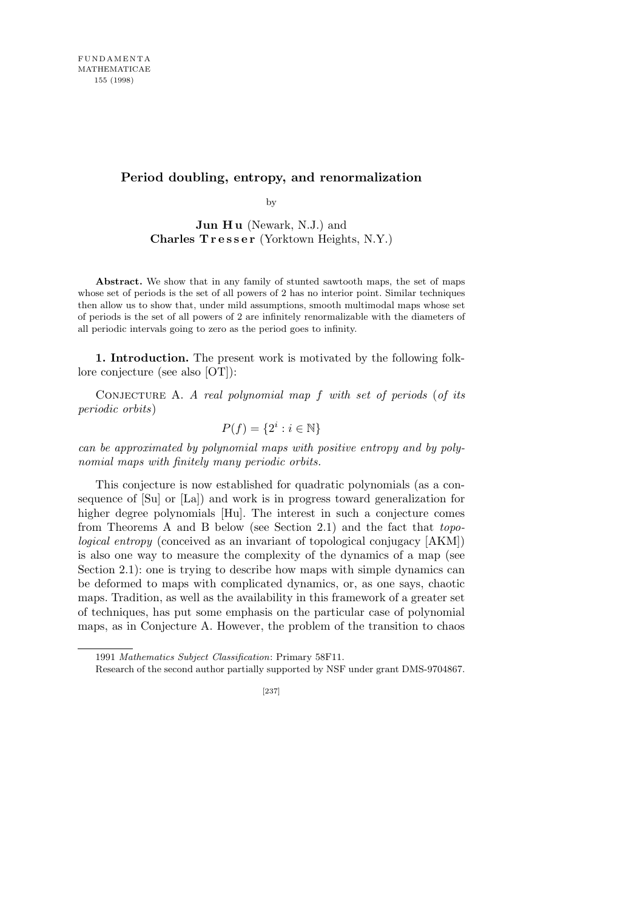## **Period doubling, entropy, and renormalization**

by

**Jun Hu** (Newark, N.J.) and **Charles T r e s s e r** (Yorktown Heights, N.Y.)

**Abstract.** We show that in any family of stunted sawtooth maps, the set of maps whose set of periods is the set of all powers of 2 has no interior point. Similar techniques then allow us to show that, under mild assumptions, smooth multimodal maps whose set of periods is the set of all powers of 2 are infinitely renormalizable with the diameters of all periodic intervals going to zero as the period goes to infinity.

**1. Introduction.** The present work is motivated by the following folklore conjecture (see also [OT]):

Conjecture A. *A real polynomial map f with set of periods* (*of its periodic orbits*)

$$
P(f) = \{2^i : i \in \mathbb{N}\}\
$$

*can be approximated by polynomial maps with positive entropy and by polynomial maps with finitely many periodic orbits.*

This conjecture is now established for quadratic polynomials (as a consequence of [Su] or [La]) and work is in progress toward generalization for higher degree polynomials [Hu]. The interest in such a conjecture comes from Theorems A and B below (see Section 2.1) and the fact that *topological entropy* (conceived as an invariant of topological conjugacy [AKM]) is also one way to measure the complexity of the dynamics of a map (see Section 2.1): one is trying to describe how maps with simple dynamics can be deformed to maps with complicated dynamics, or, as one says, chaotic maps. Tradition, as well as the availability in this framework of a greater set of techniques, has put some emphasis on the particular case of polynomial maps, as in Conjecture A. However, the problem of the transition to chaos

<sup>1991</sup> *Mathematics Subject Classification*: Primary 58F11.

Research of the second author partially supported by NSF under grant DMS-9704867.

<sup>[237]</sup>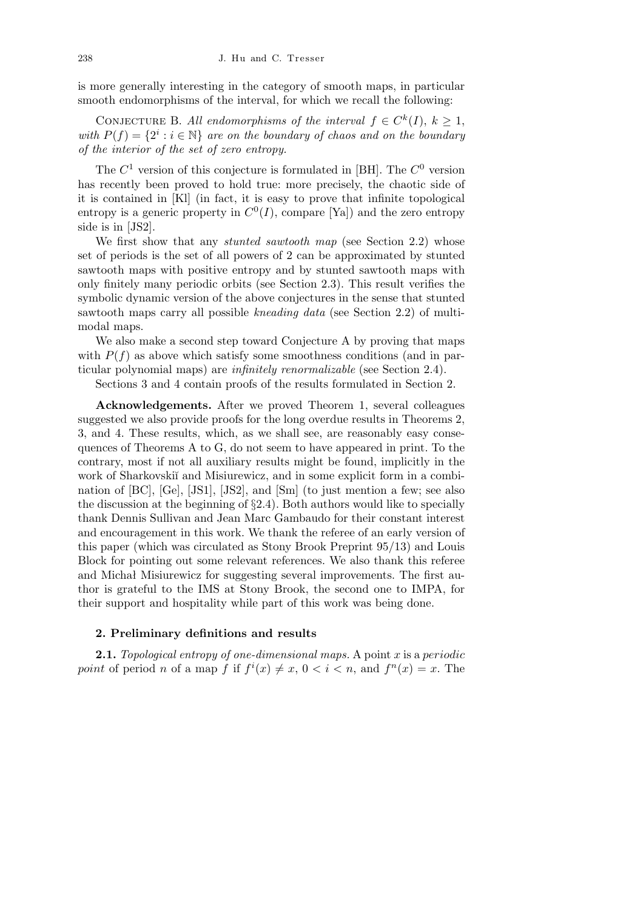is more generally interesting in the category of smooth maps, in particular smooth endomorphisms of the interval, for which we recall the following:

CONJECTURE B. All endomorphisms of the interval  $f \in C^k(I)$ ,  $k \geq 1$ , *with*  $P(f) = \{2^i : i \in \mathbb{N}\}\$ are on the boundary of chaos and on the boundary *of the interior of the set of zero entropy.*

The  $C^1$  version of this conjecture is formulated in [BH]. The  $C^0$  version has recently been proved to hold true: more precisely, the chaotic side of it is contained in [Kl] (in fact, it is easy to prove that infinite topological entropy is a generic property in  $C<sup>0</sup>(I)$ , compare [Ya]) and the zero entropy side is in [JS2].

We first show that any *stunted sawtooth map* (see Section 2.2) whose set of periods is the set of all powers of 2 can be approximated by stunted sawtooth maps with positive entropy and by stunted sawtooth maps with only finitely many periodic orbits (see Section 2.3). This result verifies the symbolic dynamic version of the above conjectures in the sense that stunted sawtooth maps carry all possible *kneading data* (see Section 2.2) of multimodal maps.

We also make a second step toward Conjecture A by proving that maps with  $P(f)$  as above which satisfy some smoothness conditions (and in particular polynomial maps) are *infinitely renormalizable* (see Section 2.4).

Sections 3 and 4 contain proofs of the results formulated in Section 2.

**Acknowledgements.** After we proved Theorem 1, several colleagues suggested we also provide proofs for the long overdue results in Theorems 2, 3, and 4. These results, which, as we shall see, are reasonably easy consequences of Theorems A to G, do not seem to have appeared in print. To the contrary, most if not all auxiliary results might be found, implicitly in the work of Sharkovskiı̆ and Misiurewicz, and in some explicit form in a combination of [BC], [Ge], [JS1], [JS2], and [Sm] (to just mention a few; see also the discussion at the beginning of *§*2*.*4). Both authors would like to specially thank Dennis Sullivan and Jean Marc Gambaudo for their constant interest and encouragement in this work. We thank the referee of an early version of this paper (which was circulated as Stony Brook Preprint 95/13) and Louis Block for pointing out some relevant references. We also thank this referee and Michał Misiurewicz for suggesting several improvements. The first author is grateful to the IMS at Stony Brook, the second one to IMPA, for their support and hospitality while part of this work was being done.

## **2. Preliminary definitions and results**

**2.1.** *Topological entropy of one-dimensional maps.* A point *x* is a *periodic point* of period *n* of a map *f* if  $f^{i}(x) \neq x, 0 < i < n$ , and  $f^{n}(x) = x$ . The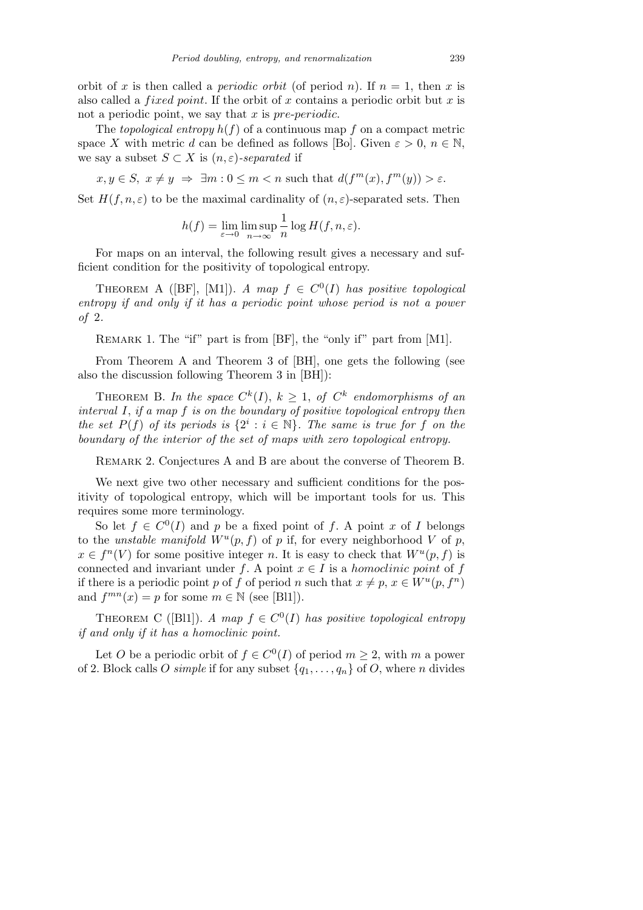orbit of *x* is then called a *periodic orbit* (of period *n*). If  $n = 1$ , then *x* is also called a *f ixed point*. If the orbit of *x* contains a periodic orbit but *x* is not a periodic point, we say that *x* is *pre*-*periodic*.

The *topological entropy*  $h(f)$  of a continuous map  $f$  on a compact metric space *X* with metric *d* can be defined as follows [Bo]. Given  $\varepsilon > 0$ ,  $n \in \mathbb{N}$ , we say a subset  $S \subset X$  is  $(n, \varepsilon)$ -separated if

 $x, y \in S$ ,  $x \neq y \Rightarrow \exists m : 0 \leq m < n$  such that  $d(f^m(x), f^m(y)) > \varepsilon$ .

Set  $H(f, n, \varepsilon)$  to be the maximal cardinality of  $(n, \varepsilon)$ -separated sets. Then

$$
h(f) = \lim_{\varepsilon \to 0} \limsup_{n \to \infty} \frac{1}{n} \log H(f, n, \varepsilon).
$$

For maps on an interval, the following result gives a necessary and sufficient condition for the positivity of topological entropy.

THEOREM A ([BF], [M1]). *A map*  $f \in C^{0}(I)$  *has positive topological entropy if and only if it has a periodic point whose period is not a power of* 2*.*

REMARK 1. The "if" part is from [BF], the "only if" part from [M1].

From Theorem A and Theorem 3 of [BH], one gets the following (see also the discussion following Theorem 3 in [BH]):

THEOREM B. In the space  $C^k(I)$ ,  $k \geq 1$ , of  $C^k$  endomorphisms of an *interval I*, *if a map f is on the boundary of positive topological entropy then the set*  $P(f)$  *of its periods is*  $\{2^i : i \in \mathbb{N}\}\$ . The same is true for f on the *boundary of the interior of the set of maps with zero topological entropy.*

Remark 2. Conjectures A and B are about the converse of Theorem B.

We next give two other necessary and sufficient conditions for the positivity of topological entropy, which will be important tools for us. This requires some more terminology.

So let  $f \in C^{0}(I)$  and *p* be a fixed point of *f*. A point *x* of *I* belongs to the *unstable manifold*  $W^u(p, f)$  of *p* if, for every neighborhood *V* of *p*,  $x \in f^{n}(V)$  for some positive integer *n*. It is easy to check that  $W^{u}(p, f)$  is connected and invariant under *f*. A point  $x \in I$  is a *homoclinic point* of *f* if there is a periodic point *p* of *f* of period *n* such that  $x \neq p, x \in W^u(p, f^n)$ and  $f^{mn}(x) = p$  for some  $m \in \mathbb{N}$  (see [Bl1]).

THEOREM C ([Bl1]). *A map*  $f \in C^{0}(I)$  *has positive topological entropy if and only if it has a homoclinic point.*

Let *O* be a periodic orbit of  $f \in C^{0}(I)$  of period  $m \geq 2$ , with *m* a power of 2. Block calls *O simple* if for any subset  $\{q_1, \ldots, q_n\}$  of *O*, where *n* divides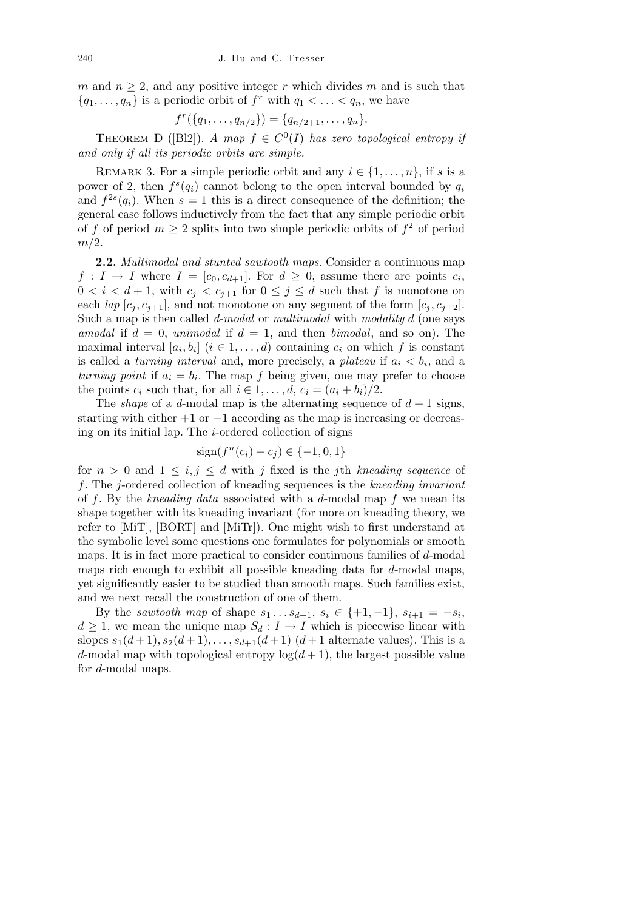*m* and  $n \geq 2$ , and any positive integer *r* which divides *m* and is such that  ${q_1, \ldots, q_n}$  is a periodic orbit of  $f^r$  with  $q_1 < \ldots < q_n$ , we have

$$
f^r(\{q_1,\ldots,q_{n/2}\})=\{q_{n/2+1},\ldots,q_n\}.
$$

THEOREM D ([Bl2]). *A map*  $f \in C^{0}(I)$  *has zero topological entropy if and only if all its periodic orbits are simple.*

REMARK 3. For a simple periodic orbit and any  $i \in \{1, \ldots, n\}$ , if *s* is a power of 2, then  $f^s(q_i)$  cannot belong to the open interval bounded by  $q_i$ and  $f^{2s}(q_i)$ . When  $s=1$  this is a direct consequence of the definition; the general case follows inductively from the fact that any simple periodic orbit of f of period  $m \geq 2$  splits into two simple periodic orbits of  $f^2$  of period *m/*2.

**2.2.** *Multimodal and stunted sawtooth maps.* Consider a continuous map  $f: I \to I$  where  $I = [c_0, c_{d+1}]$ . For  $d \geq 0$ , assume there are points  $c_i$ ,  $0 < i < d+1$ , with  $c_i < c_{i+1}$  for  $0 \leq j \leq d$  such that f is monotone on each *lap*  $[c_i, c_{i+1}]$ , and not monotone on any segment of the form  $[c_i, c_{i+2}]$ . Such a map is then called *d-modal* or *multimodal* with *modality d* (one says *amodal* if  $d = 0$ , *unimodal* if  $d = 1$ , and then *bimodal*, and so on). The maximal interval  $[a_i, b_i]$   $(i \in 1, \ldots, d)$  containing  $c_i$  on which  $f$  is constant is called a *turning interval* and, more precisely, a *plateau* if  $a_i < b_i$ , and a *turning point* if  $a_i = b_i$ . The map *f* being given, one may prefer to choose the points  $c_i$  such that, for all  $i \in 1, \ldots, d$ ,  $c_i = (a_i + b_i)/2$ .

The *shape* of a *d*-modal map is the alternating sequence of  $d+1$  signs, starting with either +1 or *−*1 according as the map is increasing or decreasing on its initial lap. The *i*-ordered collection of signs

$$
sign(f^n(c_i) - c_j) \in \{-1, 0, 1\}
$$

for  $n > 0$  and  $1 \leq i, j \leq d$  with *j* fixed is the *j*th *kneading sequence* of *f*. The *j*-ordered collection of kneading sequences is the *kneading invariant* of *f*. By the *kneading data* associated with a *d*-modal map *f* we mean its shape together with its kneading invariant (for more on kneading theory, we refer to [MiT], [BORT] and [MiTr]). One might wish to first understand at the symbolic level some questions one formulates for polynomials or smooth maps. It is in fact more practical to consider continuous families of *d*-modal maps rich enough to exhibit all possible kneading data for *d*-modal maps, yet significantly easier to be studied than smooth maps. Such families exist, and we next recall the construction of one of them.

By the *sawtooth map* of shape  $s_1 \ldots s_{d+1}, s_i \in \{+1, -1\}, s_{i+1} = -s_i$  $d \geq 1$ , we mean the unique map  $S_d : I \to I$  which is piecewise linear with slopes  $s_1(d+1), s_2(d+1), \ldots, s_{d+1}(d+1)$  (*d* + 1 alternate values). This is a *d*-modal map with topological entropy  $log(d+1)$ , the largest possible value for *d*-modal maps.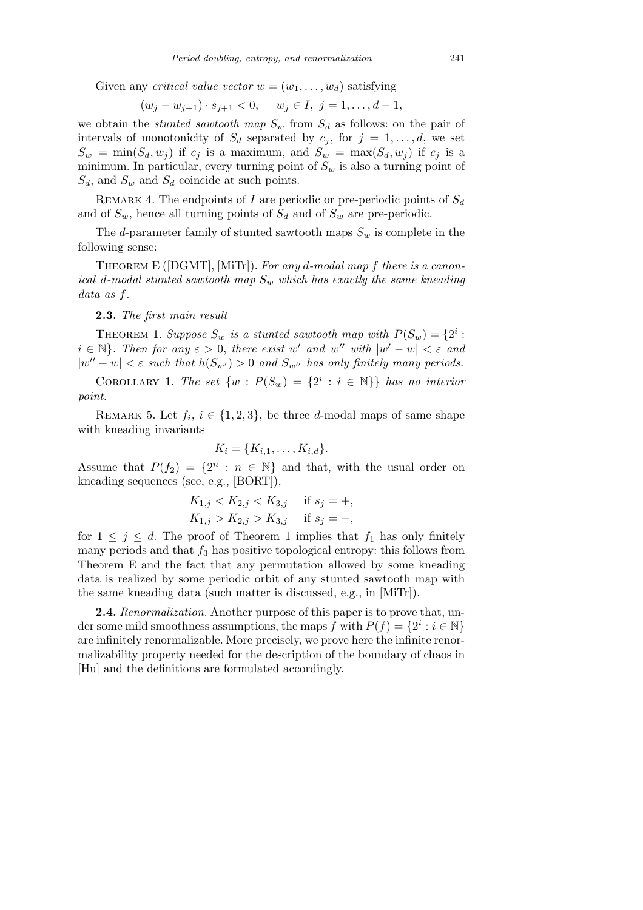Given any *critical value vector*  $w = (w_1, \ldots, w_d)$  satisfying

$$
(w_j - w_{j+1}) \cdot s_{j+1} < 0, \quad w_j \in I, \ j = 1, \dots, d-1,
$$

we obtain the *stunted sawtooth map*  $S_w$  from  $S_d$  as follows: on the pair of intervals of monotonicity of  $S_d$  separated by  $c_j$ , for  $j = 1, \ldots, d$ , we set  $S_w = \min(S_d, w_j)$  if  $c_j$  is a maximum, and  $S_w = \max(S_d, w_j)$  if  $c_j$  is a minimum. In particular, every turning point of  $S_w$  is also a turning point of *Sd*, and *S<sup>w</sup>* and *S<sup>d</sup>* coincide at such points.

Remark 4. The endpoints of *I* are periodic or pre-periodic points of *S<sup>d</sup>* and of  $S_w$ , hence all turning points of  $S_d$  and of  $S_w$  are pre-periodic.

The *d*-parameter family of stunted sawtooth maps  $S_w$  is complete in the following sense:

Theorem E ([DGMT], [MiTr]). *For any d-modal map f there is a canonical d-modal stunted sawtooth map S<sup>w</sup> which has exactly the same kneading data as f.*

**2.3.** *The first main result*

THEOREM 1. *Suppose*  $S_w$  *is a stunted sawtooth map with*  $P(S_w) = \{2^i : S_w\}$  $i \in \mathbb{N}$ *}. Then for any*  $\varepsilon > 0$ *, there exist w*<sup>*'*</sup> *and w*<sup>*''*</sup> *with*  $|w' - w| < \varepsilon$  *and*  $|w'' - w| < \varepsilon$  *such that*  $h(S_{w'}) > 0$  *and*  $S_{w''}$  *has only finitely many periods.* 

COROLLARY 1. *The set*  $\{w : P(S_w) = \{2^i : i \in \mathbb{N}\}\}\$  has no interior *point.*

REMARK 5. Let  $f_i, i \in \{1, 2, 3\}$ , be three *d*-modal maps of same shape with kneading invariants

$$
K_i = \{K_{i,1},\ldots,K_{i,d}\}.
$$

Assume that  $P(f_2) = \{2^n : n \in \mathbb{N}\}\$ and that, with the usual order on kneading sequences (see, e.g., [BORT]),

$$
K_{1,j} < K_{2,j} < K_{3,j} \quad \text{if } s_j = +,
$$
\n
$$
K_{1,j} > K_{2,j} > K_{3,j} \quad \text{if } s_j = -,
$$

for  $1 \leq j \leq d$ . The proof of Theorem 1 implies that  $f_1$  has only finitely many periods and that  $f_3$  has positive topological entropy: this follows from Theorem E and the fact that any permutation allowed by some kneading data is realized by some periodic orbit of any stunted sawtooth map with the same kneading data (such matter is discussed, e.g., in [MiTr]).

**2.4.** *Renormalization.* Another purpose of this paper is to prove that, under some mild smoothness assumptions, the maps *f* with  $P(f) = \{2^i : i \in \mathbb{N}\}\$ are infinitely renormalizable. More precisely, we prove here the infinite renormalizability property needed for the description of the boundary of chaos in [Hu] and the definitions are formulated accordingly.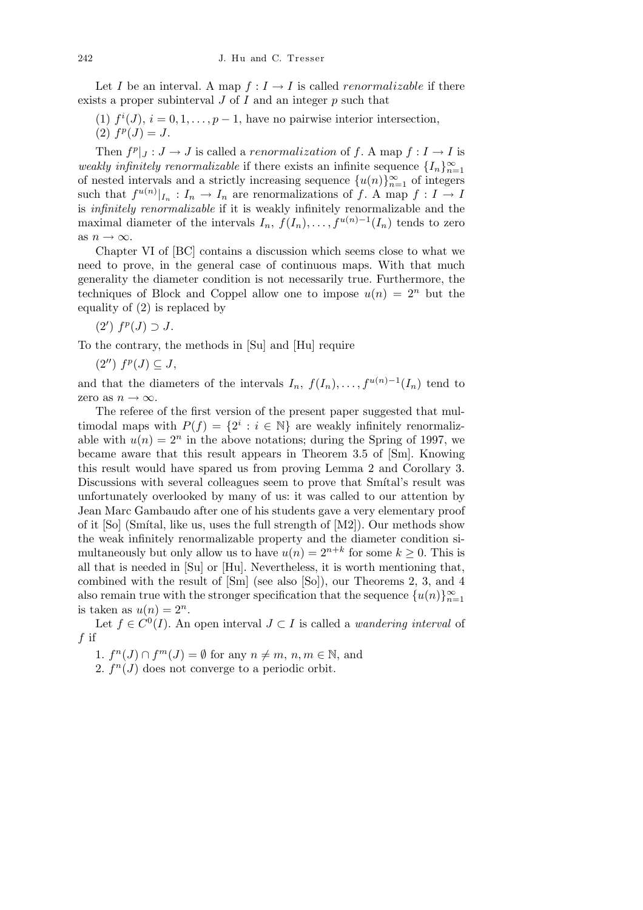Let *I* be an interval. A map  $f: I \to I$  is called *renormalizable* if there exists a proper subinterval *J* of *I* and an integer *p* such that

(1)  $f^{i}(J)$ ,  $i = 0, 1, ..., p - 1$ , have no pairwise interior intersection,  $(2)$   $f^p(J) = J$ .

Then  $f^p|_J: J \to J$  is called a *renormalization* of f. A map  $f: I \to I$  is *weakly infinitely renormalizable* if there exists an infinite sequence  $\{I_n\}_{n=1}^{\infty}$ of nested intervals and a strictly increasing sequence  $\{u(n)\}_{n=1}^{\infty}$  of integers such that  $f^{u(n)}|_{I_n}: I_n \to I_n$  are renormalizations of  $f$ . A map  $f: I \to I$ is *infinitely renormalizable* if it is weakly infinitely renormalizable and the maximal diameter of the intervals  $I_n$ ,  $f(I_n), \ldots, f^{u(n)-1}(I_n)$  tends to zero as  $n \to \infty$ .

Chapter VI of [BC] contains a discussion which seems close to what we need to prove, in the general case of continuous maps. With that much generality the diameter condition is not necessarily true. Furthermore, the techniques of Block and Coppel allow one to impose  $u(n) = 2^n$  but the equality of (2) is replaced by

 $(2')$   $f^p$ (*J*) ⊃ *J*.

To the contrary, the methods in [Su] and [Hu] require

 $(2'')$   $f^p(J) \subseteq J$ ,

and that the diameters of the intervals  $I_n$ ,  $f(I_n)$ , ...,  $f^{u(n)-1}(I_n)$  tend to zero as  $n \to \infty$ .

The referee of the first version of the present paper suggested that multimodal maps with  $P(f) = \{2^i : i \in \mathbb{N}\}\$ are weakly infinitely renormalizable with  $u(n) = 2^n$  in the above notations; during the Spring of 1997, we became aware that this result appears in Theorem 3.5 of [Sm]. Knowing this result would have spared us from proving Lemma 2 and Corollary 3. Discussions with several colleagues seem to prove that Sm<sup>{ta}</sup>'s result was unfortunately overlooked by many of us: it was called to our attention by Jean Marc Gambaudo after one of his students gave a very elementary proof of it  $[So]$  (Smital, like us, uses the full strength of  $[M2]$ ). Our methods show the weak infinitely renormalizable property and the diameter condition simultaneously but only allow us to have  $u(n) = 2^{n+k}$  for some  $k \geq 0$ . This is all that is needed in [Su] or [Hu]. Nevertheless, it is worth mentioning that, combined with the result of [Sm] (see also [So]), our Theorems 2, 3, and 4 also remain true with the stronger specification that the sequence  $\{u(n)\}_{n=1}^{\infty}$ is taken as  $u(n) = 2^n$ .

Let  $f \in C^{0}(I)$ . An open interval  $J \subset I$  is called a *wandering interval* of *f* if

1.  $f^{n}(J) \cap f^{m}(J) = \emptyset$  for any  $n \neq m, n, m \in \mathbb{N}$ , and

2.  $f^{n}(J)$  does not converge to a periodic orbit.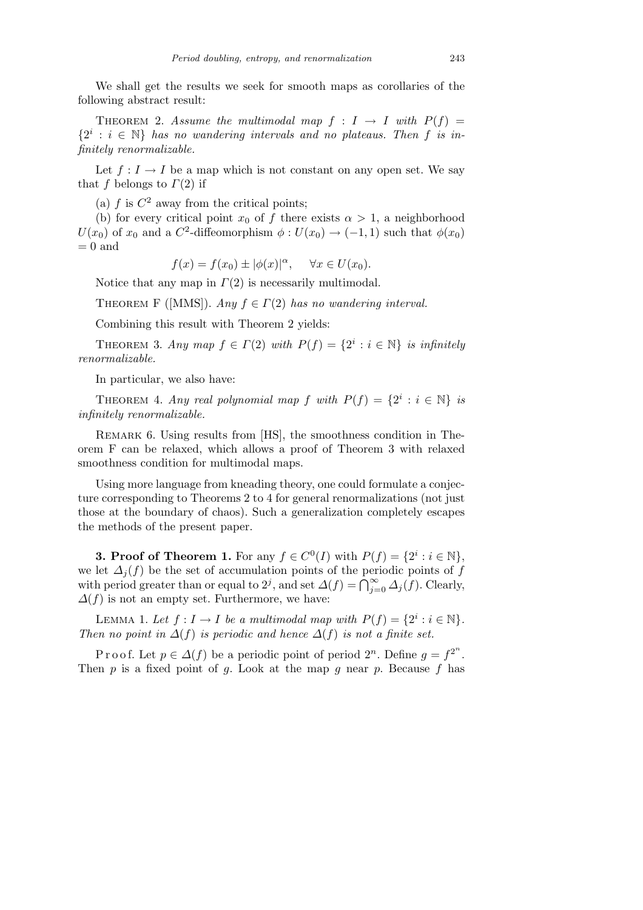We shall get the results we seek for smooth maps as corollaries of the following abstract result:

THEOREM 2. Assume the multimodal map  $f : I \rightarrow I$  with  $P(f) =$  ${2^i : i \in \mathbb{N}}$  *has no wandering intervals and no plateaus. Then f is infinitely renormalizable.*

Let  $f: I \to I$  be a map which is not constant on any open set. We say that *f* belongs to *Γ*(2) if

(a)  $f$  is  $C^2$  away from the critical points;

(b) for every critical point  $x_0$  of  $f$  there exists  $\alpha > 1$ , a neighborhood  $U(x_0)$  of  $x_0$  and a  $C^2$ -diffeomorphism  $\phi: U(x_0) \to (-1,1)$  such that  $\phi(x_0)$  $= 0$  and

$$
f(x) = f(x_0) \pm |\phi(x)|^{\alpha}, \quad \forall x \in U(x_0).
$$

Notice that any map in *Γ*(2) is necessarily multimodal.

THEOREM F ([MMS]). *Any*  $f \in \Gamma(2)$  *has no wandering interval.* 

Combining this result with Theorem 2 yields:

THEOREM 3. Any map  $f \in \Gamma(2)$  with  $P(f) = \{2^i : i \in \mathbb{N}\}\$ is infinitely *renormalizable.*

In particular, we also have:

THEOREM 4. Any real polynomial map  $f$  with  $P(f) = \{2^i : i \in \mathbb{N}\}\$ is *infinitely renormalizable.*

REMARK 6. Using results from [HS], the smoothness condition in Theorem F can be relaxed, which allows a proof of Theorem 3 with relaxed smoothness condition for multimodal maps.

Using more language from kneading theory, one could formulate a conjecture corresponding to Theorems 2 to 4 for general renormalizations (not just those at the boundary of chaos). Such a generalization completely escapes the methods of the present paper.

**3. Proof of Theorem 1.** For any  $f \in C^0(I)$  with  $P(f) = \{2^i : i \in \mathbb{N}\},\$ we let  $\Delta_i(f)$  be the set of accumulation points of the periodic points of *f* we field  $\Delta_j(f)$  be the set of accumulation points of the periodic points of f<br>with period greater than or equal to  $2^j$ , and set  $\Delta(f) = \bigcap_{j=0}^{\infty} \Delta_j(f)$ . Clearly, *∆*(*f*) is not an empty set. Furthermore, we have:

LEMMA 1. Let  $f: I \to I$  be a multimodal map with  $P(f) = \{2^i : i \in \mathbb{N}\}.$ *Then no point in*  $\Delta(f)$  *is periodic and hence*  $\Delta(f)$  *is not a finite set.* 

P r o o f. Let  $p \in \Delta(f)$  be a periodic point of period  $2^n$ . Define  $q = f^{2^n}$ . Then *p* is a fixed point of *g*. Look at the map *g* near *p*. Because *f* has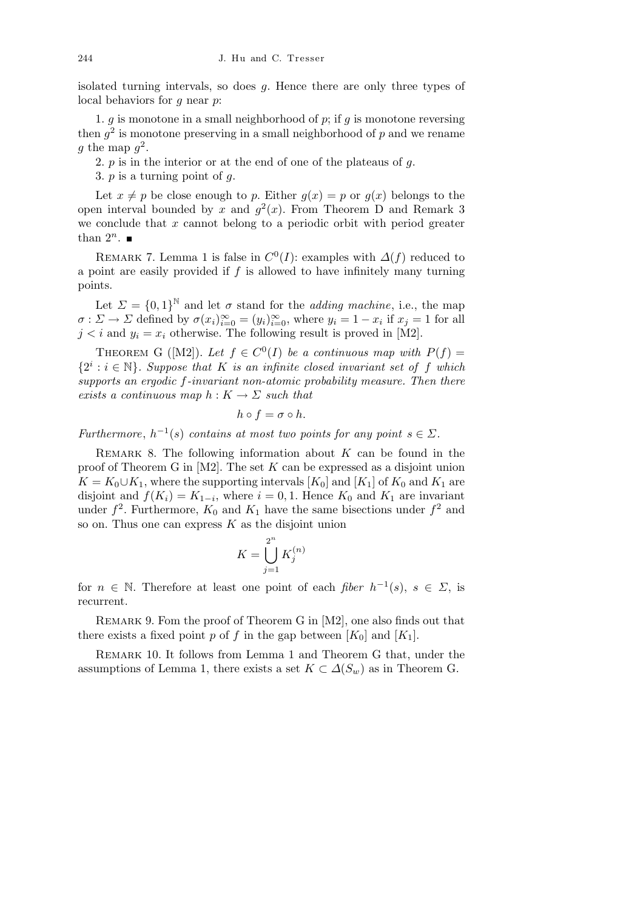isolated turning intervals, so does *g*. Hence there are only three types of local behaviors for *g* near *p*:

1. *g* is monotone in a small neighborhood of *p*; if *g* is monotone reversing then  $g^2$  is monotone preserving in a small neighborhood of  $p$  and we rename g the map  $g^2$ .

2. *p* is in the interior or at the end of one of the plateaus of *g*.

3. *p* is a turning point of *g*.

Let  $x \neq p$  be close enough to p. Either  $q(x) = p$  or  $q(x)$  belongs to the open interval bounded by x and  $g^2(x)$ . From Theorem D and Remark 3 we conclude that *x* cannot belong to a periodic orbit with period greater than  $2^n$ .

REMARK 7. Lemma 1 is false in  $C^0(I)$ : examples with  $\Delta(f)$  reduced to a point are easily provided if *f* is allowed to have infinitely many turning points.

Let  $\Sigma = \{0,1\}^{\mathbb{N}}$  and let  $\sigma$  stand for the *adding machine*, i.e., the map  $\sigma$ :  $\Sigma \to \Sigma$  defined by  $\sigma(x_i)_{i=0}^{\infty} = (y_i)_{i=0}^{\infty}$ , where  $y_i = 1 - x_i$  if  $x_j = 1$  for all  $j < i$  and  $y_i = x_i$  otherwise. The following result is proved in [M2].

THEOREM G ([M2]). Let  $f \in C^{0}(I)$  be a continuous map with  $P(f) =$  ${2^i : i \in \mathbb{N}}$ *. Suppose that K is an infinite closed invariant set of f which supports an ergodic f-invariant non-atomic probability measure. Then there exists a continuous map*  $h: K \to \Sigma$  *such that* 

$$
h\circ f=\sigma\circ h.
$$

*Furthermore*,  $h^{-1}(s)$  *contains at most two points for any point*  $s \in \Sigma$ *.* 

REMARK 8. The following information about  $K$  can be found in the proof of Theorem G in [M2]. The set *K* can be expressed as a disjoint union  $K = K_0 \cup K_1$ , where the supporting intervals [ $K_0$ ] and [ $K_1$ ] of  $K_0$  and  $K_1$  are disjoint and  $f(K_i) = K_{1-i}$ , where  $i = 0, 1$ . Hence  $K_0$  and  $K_1$  are invariant under  $f^2$ . Furthermore,  $K_0$  and  $K_1$  have the same bisections under  $f^2$  and so on. Thus one can express *K* as the disjoint union

$$
K = \bigcup_{j=1}^{2^n} K_j^{(n)}
$$

for  $n \in \mathbb{N}$ . Therefore at least one point of each *fiber*  $h^{-1}(s)$ ,  $s \in \Sigma$ , is recurrent.

Remark 9. Fom the proof of Theorem G in [M2], one also finds out that there exists a fixed point *p* of *f* in the gap between  $[K_0]$  and  $[K_1]$ .

Remark 10. It follows from Lemma 1 and Theorem G that, under the assumptions of Lemma 1, there exists a set  $K \subset \Delta(S_w)$  as in Theorem G.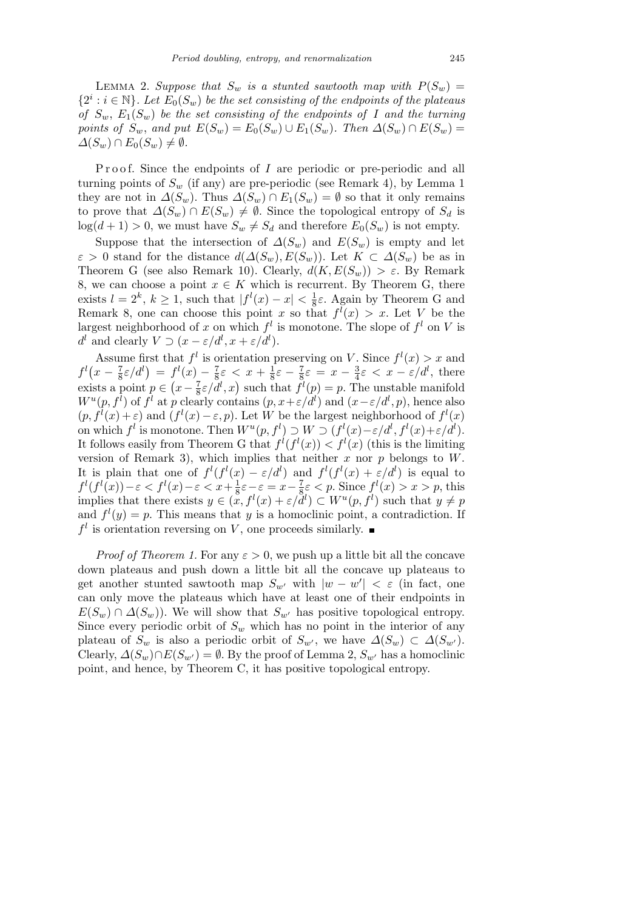LEMMA 2. Suppose that  $S_w$  is a stunted sawtooth map with  $P(S_w)$  =  ${2^i : i \in \mathbb{N}}$ *. Let*  $E_0(S_w)$  *be the set consisting of the endpoints of the plateaus of*  $S_w$ ,  $E_1(S_w)$  *be the set consisting of the endpoints of I and the turning points of*  $S_w$ , and put  $E(S_w) = E_0(S_w) \cup E_1(S_w)$ . Then  $\Delta(S_w) \cap E(S_w) =$  $\Delta(S_w) \cap E_0(S_w) \neq \emptyset$ .

Proof. Since the endpoints of *I* are periodic or pre-periodic and all turning points of  $S_w$  (if any) are pre-periodic (see Remark 4), by Lemma 1 they are not in  $\Delta(S_w)$ . Thus  $\Delta(S_w) \cap E_1(S_w) = \emptyset$  so that it only remains to prove that  $\Delta(S_w) \cap E(S_w) \neq \emptyset$ . Since the topological entropy of  $S_d$  is  $\log(d+1) > 0$ , we must have  $S_w \neq S_d$  and therefore  $E_0(S_w)$  is not empty.

Suppose that the intersection of  $\Delta(S_w)$  and  $E(S_w)$  is empty and let  $\varepsilon > 0$  stand for the distance  $d(\Delta(S_w), E(S_w))$ . Let  $K \subset \Delta(S_w)$  be as in Theorem G (see also Remark 10). Clearly,  $d(K, E(S_w)) > \varepsilon$ . By Remark 8, we can choose a point  $x \in K$  which is recurrent. By Theorem G, there exists  $l = 2^k$ ,  $k \geq 1$ , such that  $|f^l(x) - x| < \frac{1}{8}$  $\frac{1}{8}\varepsilon$ . Again by Theorem G and Remark 8, one can choose this point *x* so that  $f^l(x) > x$ . Let *V* be the largest neighborhood of x on which  $f^l$  is monotone. The slope of  $f^l$  on V is  $d^l$  and clearly  $V \supset (x - \varepsilon/d^l, x + \varepsilon/d^l).$ 

Assume first that  $f^l$  is orientation preserving on *V*. Since  $f^l(x) > x$  and *f l x* −  $\frac{7}{8}$ ιme nr;<br><mark>ξ</mark>ε/d<sup>l</sup>)  $= f^{l}(x) - \frac{7}{8}$  $\frac{7}{8}\varepsilon \, < \, x + \frac{1}{8}$  $rac{1}{8}\varepsilon - \frac{7}{8}$  $\frac{7}{8}\varepsilon = x - \frac{3}{4}$  $f^{l}(x) - \frac{7}{8}\varepsilon < x + \frac{1}{8}\varepsilon - \frac{7}{8}\varepsilon = x - \frac{3}{4}\varepsilon < x - \varepsilon/d^{l}$ , there exists a point  $p \in (x - \frac{7}{8})$  $\frac{7}{8}\epsilon \leq x + \frac{7}{8}\epsilon - \frac{7}{8}\epsilon = x - \frac{7}{4}\epsilon \leq x - \frac{7}{8}a$ , there  $\frac{7}{8}\epsilon/d^l, x$  such that  $f^l(p) = p$ . The unstable manifold  $W^u(p, f^l)$  of  $f^l$  at  $p$  clearly contains  $(p, x + \varepsilon/d^l)$  and  $(x - \varepsilon/d^l, p)$ , hence also  $(p, f^{l}(x) + \varepsilon)$  and  $(f^{l}(x) - \varepsilon, p)$ . Let *W* be the largest neighborhood of  $f^{l}(x)$ on which  $f^l$  is monotone. Then  $W^u(p, f^l) \supset W \supset (f^l(x)-\varepsilon/d^l, f^l(x)+\varepsilon/d^l)$ . It follows easily from Theorem G that  $f^l(f^l(x)) < f^l(x)$  (this is the limiting version of Remark 3), which implies that neither *x* nor *p* belongs to *W*. It is plain that one of  $f^l(f^l(x) - \varepsilon/d^l)$  and  $f^l(f^l(x) + \varepsilon/d^l)$  is equal to  $f^l(f^l(x)) - \varepsilon < f^l(x) - \varepsilon < x + \frac{1}{8}$  $\frac{1}{8}\varepsilon - \varepsilon = x - \frac{7}{8}$  $\frac{7}{8} \varepsilon < p$ . Since  $f^l(x) > x > p$ , this implies that there exists  $y \in (x, f^l(x) + \varepsilon/d^l) \subset W^u(p, f^l)$  such that  $y \neq p$ and  $f^{\ell}(y) = p$ . This means that *y* is a homoclinic point, a contradiction. If  $f^l$  is orientation reversing on *V*, one proceeds similarly.

*Proof of Theorem 1.* For any  $\varepsilon > 0$ , we push up a little bit all the concave down plateaus and push down a little bit all the concave up plateaus to get another stunted sawtooth map  $S_{w'}$  with  $|w - w'| < \varepsilon$  (in fact, one can only move the plateaus which have at least one of their endpoints in  $E(S_w) \cap \Delta(S_w)$ ). We will show that  $S_{w'}$  has positive topological entropy. Since every periodic orbit of  $S_w$  which has no point in the interior of any plateau of  $S_w$  is also a periodic orbit of  $S_{w}$ , we have  $\Delta(S_w) \subset \Delta(S_{w}^0)$ . Clearly,  $\Delta(S_w) \cap E(S_{w'}) = \emptyset$ . By the proof of Lemma 2,  $S_{w'}$  has a homoclinic point, and hence, by Theorem C, it has positive topological entropy.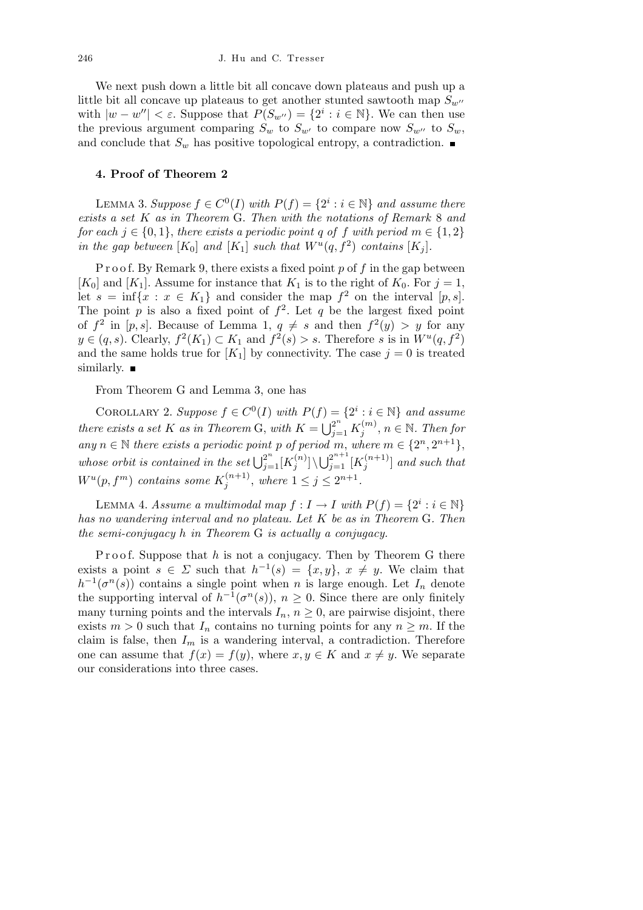We next push down a little bit all concave down plateaus and push up a little bit all concave up plateaus to get another stunted sawtooth map  $S_{w}$ <sup>*n*</sup> with  $|w - w''| < \varepsilon$ . Suppose that  $P(S_{w''}) = \{2^i : i \in \mathbb{N}\}\$ . We can then use the previous argument comparing  $S_w$  to  $S_{w'}$  to compare now  $S_{w''}$  to  $S_w$ , and conclude that  $S_w$  has positive topological entropy, a contradiction.  $\blacksquare$ 

## **4. Proof of Theorem 2**

 $L$ **EMMA 3.** Suppose  $f$  ∈  $C^0(I)$  with  $P(f) = \{2^i : i \in \mathbb{N}\}\$  and assume there *exists a set K as in Theorem* G. *Then with the notations of Remark* 8 *and for each*  $j \in \{0, 1\}$ , *there exists a periodic point q of f with period*  $m \in \{1, 2\}$ *in the gap between*  $[K_0]$  *and*  $[K_1]$  *such that*  $W^u(q, f^2)$  *contains*  $[K_j]$ *.* 

P r o o f. By Remark 9, there exists a fixed point p of f in the gap between  $[K_0]$  and  $[K_1]$ . Assume for instance that  $K_1$  is to the right of  $K_0$ . For  $j = 1$ , let  $s = \inf\{x : x \in K_1\}$  and consider the map  $f^2$  on the interval  $[p, s]$ . The point  $p$  is also a fixed point of  $f^2$ . Let  $q$  be the largest fixed point of  $f^2$  in  $[p, s]$ . Because of Lemma 1,  $q \neq s$  and then  $f^2(y) > y$  for any *y* ∈  $(q, s)$ . Clearly,  $f^2(K_1)$  ⊂  $K_1$  and  $f^2(s) > s$ . Therefore *s* is in  $W^u(q, f^2)$ and the same holds true for  $[K_1]$  by connectivity. The case  $j = 0$  is treated similarly.  $\blacksquare$ 

From Theorem G and Lemma 3, one has

COROLLARY 2. Suppose  $f \in C^0(I)$  with  $P(f) = \{2^i : i \in \mathbb{N}\}\$ and assume *there exists a set K as in Theorem G, with*  $K = \bigcup_{j=1}^{2^n} K_j^{(m)}$  $j^{(m)}$ ,  $n \in \mathbb{N}$ . Then for *any*  $n \in \mathbb{N}$  *there exists a periodic point p of period m, where*  $m \in \{2^n, 2^{n+1}\},$ whose orbit is contained in the set  $\bigcup_{j=1}^{2^n} [K_j^{(n)}]$  $\bigcup_{j=1}^{(n)}$   $\big] \setminus \bigcup_{j=1}^{2^{n+1}}$   $[K_j^{(n+1)}]$  $\int_j^{(n+1)}$  *and such that*  $W^{u}(p, f^{m})$  *contains some*  $K_{j}^{(n+1)}$ *, where*  $1 \leq j \leq 2^{n+1}$ *.* (*n*+1)

LEMMA 4. *Assume a multimodal map*  $f: I \to I$  *with*  $P(f) = \{2^i : i \in \mathbb{N}\}\$ *has no wandering interval and no plateau. Let K be as in Theorem* G*. Then the semi-conjugacy h in Theorem* G *is actually a conjugacy.*

P roof. Suppose that *h* is not a conjugacy. Then by Theorem G there exists a point  $s \in \Sigma$  such that  $h^{-1}(s) = \{x, y\}$ ,  $x \neq y$ . We claim that  $h^{-1}(\sigma^n(s))$  contains a single point when *n* is large enough. Let  $I_n$  denote the supporting interval of  $h^{-1}(\sigma^n(s))$ ,  $n \geq 0$ . Since there are only finitely many turning points and the intervals  $I_n$ ,  $n \geq 0$ , are pairwise disjoint, there exists  $m > 0$  such that  $I_n$  contains no turning points for any  $n \geq m$ . If the claim is false, then  $I_m$  is a wandering interval, a contradiction. Therefore one can assume that  $f(x) = f(y)$ , where  $x, y \in K$  and  $x \neq y$ . We separate our considerations into three cases.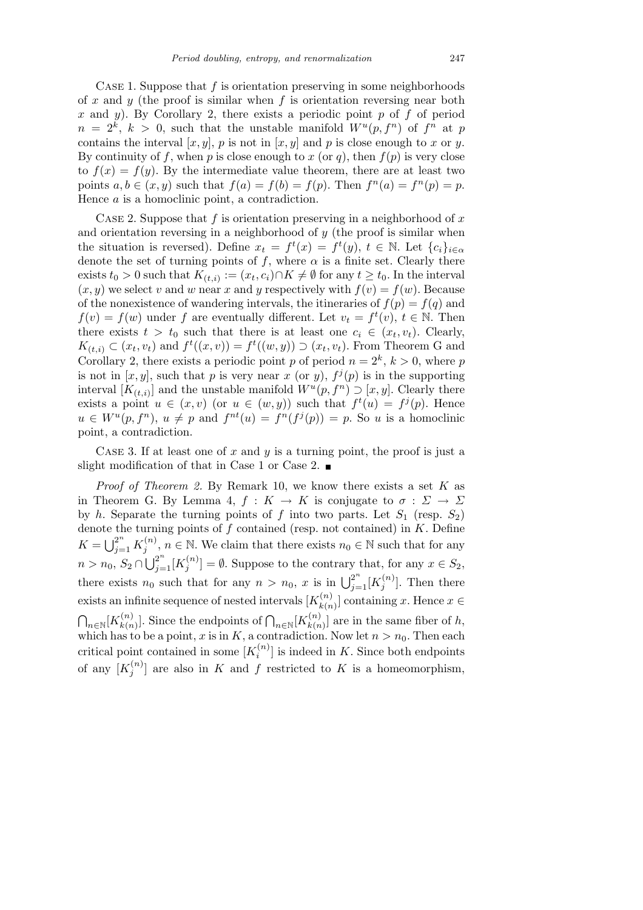Case 1. Suppose that *f* is orientation preserving in some neighborhoods of *x* and *y* (the proof is similar when *f* is orientation reversing near both *x* and *y*). By Corollary 2, there exists a periodic point *p* of *f* of period  $n = 2^k$ ,  $k > 0$ , such that the unstable manifold  $W^u(p, f^n)$  of  $f^n$  at p contains the interval  $[x, y]$ ,  $p$  is not in  $[x, y]$  and  $p$  is close enough to  $x$  or  $y$ . By continuity of f, when p is close enough to x (or q), then  $f(p)$  is very close to  $f(x) = f(y)$ . By the intermediate value theorem, there are at least two points  $a, b \in (x, y)$  such that  $f(a) = f(b) = f(p)$ . Then  $f^{n}(a) = f^{n}(p) = p$ . Hence *a* is a homoclinic point, a contradiction.

Case 2. Suppose that *f* is orientation preserving in a neighborhood of *x* and orientation reversing in a neighborhood of *y* (the proof is similar when the situation is reversed). Define  $x_t = f^t(x) = f^t(y)$ ,  $t \in \mathbb{N}$ . Let  $\{c_i\}_{i \in \alpha}$ denote the set of turning points of f, where  $\alpha$  is a finite set. Clearly there exists  $t_0 > 0$  such that  $K_{(t,i)} := (x_t, c_i) \cap K \neq \emptyset$  for any  $t \geq t_0$ . In the interval  $(x, y)$  we select *v* and *w* near *x* and *y* respectively with  $f(v) = f(w)$ . Because of the nonexistence of wandering intervals, the itineraries of  $f(p) = f(q)$  and  $f(v) = f(w)$  under *f* are eventually different. Let  $v_t = f^t(v)$ ,  $t \in \mathbb{N}$ . Then there exists  $t > t_0$  such that there is at least one  $c_i \in (x_t, v_t)$ . Clearly,  $K_{(t,i)} \subset (x_t, v_t)$  and  $f^t((x, v)) = f^t((w, y)) \supset (x_t, v_t)$ . From Theorem G and Corollary 2, there exists a periodic point *p* of period  $n = 2^k$ ,  $k > 0$ , where *p* is not in  $[x, y]$ , such that *p* is very near *x* (or *y*),  $f^j(p)$  is in the supporting interval  $[K_{(t,i)}]$  and the unstable manifold  $W^u(p, f^n) \supset [x, y]$ . Clearly there exists a point  $u \in (x, v)$  (or  $u \in (w, y)$ ) such that  $f^t(u) = f^j(p)$ . Hence  $u \in W^u(p, f^n), u \neq p$  and  $f^{nt}(u) = f^n(f^j(p)) = p$ . So *u* is a homoclinic point, a contradiction.

Case 3. If at least one of *x* and *y* is a turning point, the proof is just a slight modification of that in Case 1 or Case 2.  $\blacksquare$ 

*Proof of Theorem 2.* By Remark 10, we know there exists a set *K* as in Theorem G. By Lemma 4,  $f: K \to K$  is conjugate to  $\sigma: \Sigma \to \Sigma$ by *h*. Separate the turning points of *f* into two parts. Let  $S_1$  (resp.  $S_2$ ) denote the turning points of *f* contained (resp. not contained) in *K*. Define  $K = \bigcup_{j=1}^{2^n} K_j^{(n)}$  $j^{(n)}$ ,  $n \in \mathbb{N}$ . We claim that there exists  $n_0 \in \mathbb{N}$  such that for any  $n > n_0, S_2 \cap \bigcup_{j=1}^{2^n} [K_j^{(n)}]$  $\mathcal{L}^{(n)}_j$  =  $\emptyset$ . Suppose to the contrary that, for any  $x \in S_2$ , there exists  $n_0$  such that for any  $n > n_0$ , *x* is in  $\bigcup_{j=1}^{2^n} [K_j^{(n)}]$  $j^{(n)}$ . Then there exists an infinite sequence of nested intervals  $[K_{\nu}^{(n)}]$  $\binom{n}{k(n)}$  containing *x*. Hence *x* ∈  $\overline{a}$  $n \in \mathbb{N}$ <sup>[*K* $\binom{n}{k}$ </sup>  $\binom{n}{k(n)}$ . Since the endpoints of  $\bigcap_{n\in\mathbb{N}}\left[K_{k(n)}^{(n)}\right]$  $\binom{n}{k(n)}$  are in the same fiber of *h*, which has to be a point, *x* is in  $K$ , a contradiction. Now let  $n > n_0$ . Then each critical point contained in some  $[K_i^{(n)}]$  $\binom{n}{i}$  is indeed in *K*. Since both endpoints of any  $[K_i^{(n)}]$  $j^{(n)}$  are also in *K* and *f* restricted to *K* is a homeomorphism,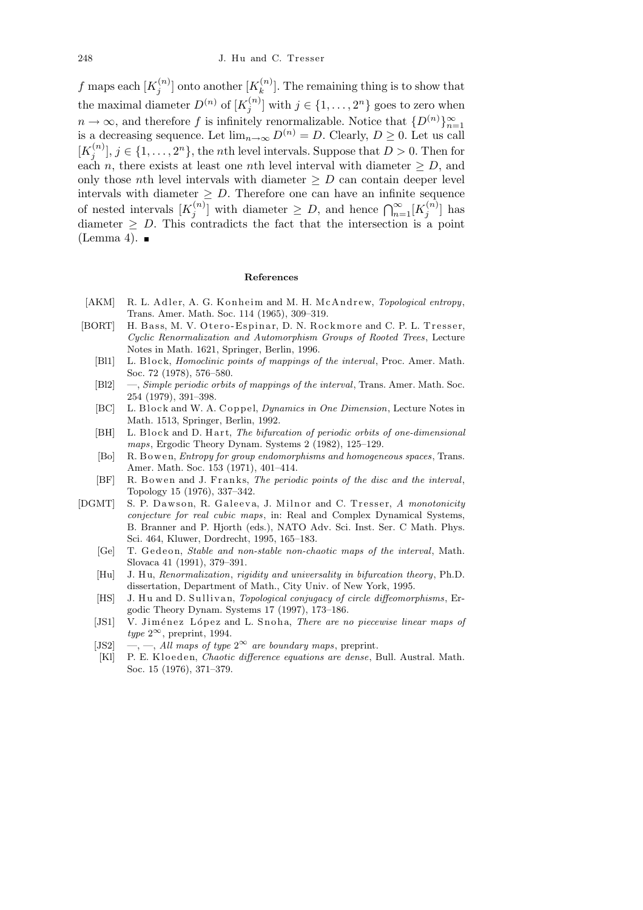*f* maps each  $[K_i^{(n)}]$  $\binom{n}{j}$  onto another  $[K_k^{(n)}]$  ${k^{(n)}$ . The remaining thing is to show that the maximal diameter  $D^{(n)}$  of  $[K_i^{(n)}]$  $j^{(n)}$  with  $j \in \{1, \ldots, 2^n\}$  goes to zero when  $n \to \infty$ , and therefore *f* is infinitely renormalizable. Notice that  $\{D^{(n)}\}_{n=1}^{\infty}$ is a decreasing sequence. Let  $\lim_{n\to\infty} D^{(n)} = D$ . Clearly,  $D \geq 0$ . Let us call  $[K_i^{(n)}]$  $\{f^{(n)}_j\}, j \in \{1, \ldots, 2^n\},\$  the *n*th level intervals. Suppose that  $D > 0$ . Then for each *n*, there exists at least one *n*th level interval with diameter  $\geq D$ , and only those *n*th level intervals with diameter  $\geq D$  can contain deeper level intervals with diameter  $\geq D$ . Therefore one can have an infinite sequence of nested intervals  $[K_i^{(n)}]$  $\left[\begin{array}{c} n \geq D. \text{ Therefore, the can have an infinite sequence } \\ \left[\begin{array}{c} n \end{array}\right] \text{ with diameter } \geq D, \text{ and hence } \bigcap_{n=1}^{\infty} [K_j^{(n)}]$  $\binom{n}{j}$  has diameter  $\geq D$ . This contradicts the fact that the intersection is a point (Lemma 4).  $\blacksquare$ 

## **References**

- [AKM] R. L. Adler, A. G. Konheim and M. H. McAndrew, *Topological entropy*, Trans. Amer. Math. Soc. 114 (1965), 309–319.
- [BORT] H. Bass, M. V. Otero-Espinar, D. N. Rockmore and C. P. L. Tresser, *Cyclic Renormalization and Automorphism Groups of Rooted Trees*, Lecture Notes in Math. 1621, Springer, Berlin, 1996.
	- [Bl1] L. Block, *Homoclinic points of mappings of the interval*, Proc. Amer. Math. Soc. 72 (1978), 576–580.
	- [Bl2] —, *Simple periodic orbits of mappings of the interval*, Trans. Amer. Math. Soc. 254 (1979), 391–398.
	- [BC] L. Block and W. A. Coppel, *Dynamics in One Dimension*, Lecture Notes in Math. 1513, Springer, Berlin, 1992.
	- [BH] L. Block and D. Hart, *The bifurcation of periodic orbits of one-dimensional maps*, Ergodic Theory Dynam. Systems 2 (1982), 125–129.
	- [Bo] R. B owen, *Entropy for group endomorphisms and homogeneous spaces*, Trans. Amer. Math. Soc. 153 (1971), 401–414.
	- [BF] R. Bowen and J. Franks, *The periodic points of the disc and the interval*, Topology 15 (1976), 337–342.
- [DGMT] S. P. Dawson, R. Galeeva, J. Milnor and C. Tresser, A monotonicity *conjecture for real cubic maps*, in: Real and Complex Dynamical Systems, B. Branner and P. Hjorth (eds.), NATO Adv. Sci. Inst. Ser. C Math. Phys. Sci. 464, Kluwer, Dordrecht, 1995, 165–183.
	- [Ge] T. Gedeon, *Stable and non-stable non-chaotic maps of the interval*, Math. Slovaca 41 (1991), 379–391.
	- [Hu] J. H u, *Renormalization*, *rigidity and universality in bifurcation theory*, Ph.D. dissertation, Department of Math., City Univ. of New York, 1995.
	- [HS] J. Hu and D. Sullivan, *Topological conjugacy of circle diffeomorphisms*, Ergodic Theory Dynam. Systems 17 (1997), 173–186.
	- [JS1] V. Jiménez López and L. Snoha, *There are no piecewise linear maps of*  $type 2^{\infty}$ , preprint, 1994.
	- [JS2]  $\,\,\tilde{\,\,\,}$  —,  $\,\,\tilde{\,\,}$  *All maps of type*  $2^{\infty}$  *are boundary maps*, preprint.
	- [Kl] P. E. Kloeden, *Chaotic difference equations are dense*, Bull. Austral. Math. Soc. 15 (1976), 371–379.